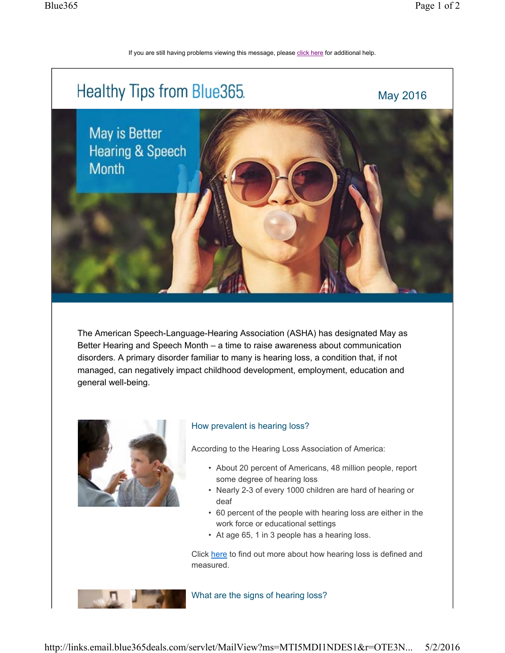If you are still having problems viewing this message, please click here for additional help.



The American Speech-Language-Hearing Association (ASHA) has designated May as Better Hearing and Speech Month – a time to raise awareness about communication disorders. A primary disorder familiar to many is hearing loss, a condition that, if not managed, can negatively impact childhood development, employment, education and general well-being.



## How prevalent is hearing loss?

According to the Hearing Loss Association of America:

- About 20 percent of Americans, 48 million people, report some degree of hearing loss
- Nearly 2-3 of every 1000 children are hard of hearing or deaf
- 60 percent of the people with hearing loss are either in the work force or educational settings
- At age 65, 1 in 3 people has a hearing loss.

Click here to find out more about how hearing loss is defined and measured.

What are the signs of hearing loss?